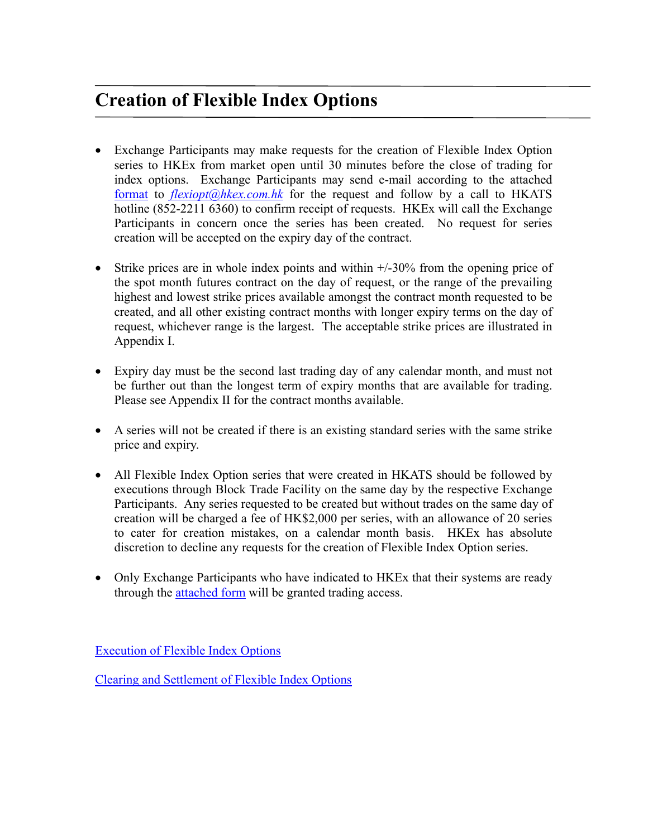## **Creation of Flexible Index Options**

- Exchange Participants may make requests for the creation of Flexible Index Option series to HKEx from market open until 30 minutes before the close of trading for index options. Exchange Participants may send e-mail according to the attached [format](http://www.hkex.com.hk/eng/prod/drprod/hkifo/Documents/flex_format.pdf) to *[flexiopt@hkex.com.hk](mailto:flexiopt@hkex.com.hk)* for the request and follow by a call to HKATS hotline (852-2211 6360) to confirm receipt of requests. HKEx will call the Exchange Participants in concern once the series has been created. No request for series creation will be accepted on the expiry day of the contract.
- Strike prices are in whole index points and within  $+/-30\%$  from the opening price of the spot month futures contract on the day of request, or the range of the prevailing highest and lowest strike prices available amongst the contract month requested to be created, and all other existing contract months with longer expiry terms on the day of request, whichever range is the largest. The acceptable strike prices are illustrated in Appendix I.
- Expiry day must be the second last trading day of any calendar month, and must not be further out than the longest term of expiry months that are available for trading. Please see Appendix II for the contract months available.
- A series will not be created if there is an existing standard series with the same strike price and expiry.
- All Flexible Index Option series that were created in HKATS should be followed by executions through Block Trade Facility on the same day by the respective Exchange Participants. Any series requested to be created but without trades on the same day of creation will be charged a fee of HK\$2,000 per series, with an allowance of 20 series to cater for creation mistakes, on a calendar month basis. HKEx has absolute discretion to decline any requests for the creation of Flexible Index Option series.
- Only Exchange Participants who have indicated to HKEx that their systems are ready through the [attached form](http://www.hkex.com.hk/prod/hsifo/flex_form.pdf) will be granted trading access.

[Execution of Flexible Index Options](http://www.hkex.com.hk/prod/hsifo/flex_execution.pdf)

[Clearing and Settlement of Flexible Index Options](http://www.hkex.com.hk/prod/hsifo/flex_clearsettle.pdf)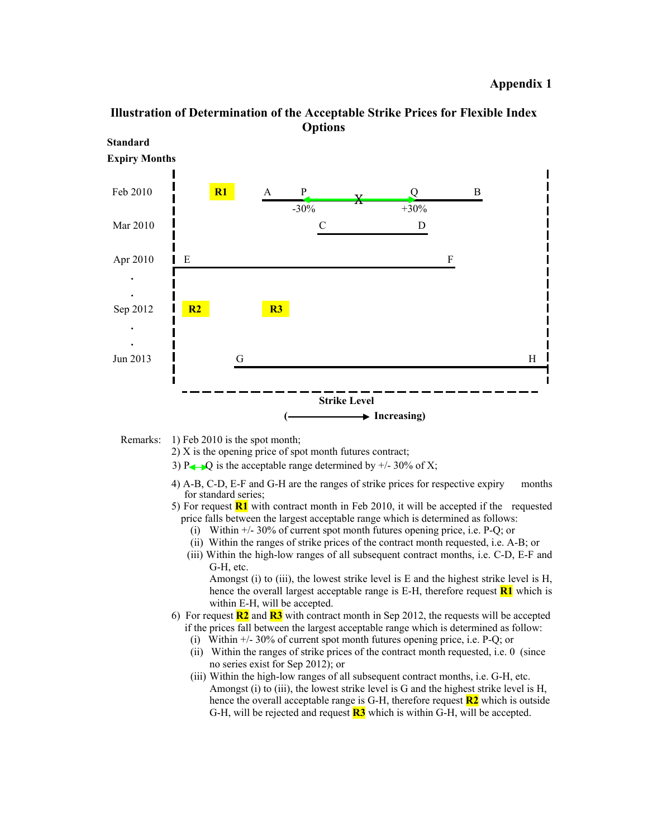



Remarks: 1) Feb 2010 is the spot month;

- 2) X is the opening price of spot month futures contract;
- 3) P $\leftarrow$  Q is the acceptable range determined by  $+/- 30\%$  of X;
- 4) A-B, C-D, E-F and G-H are the ranges of strike prices for respective expiry months for standard series;
- 5) For request **R1** with contract month in Feb 2010, it will be accepted if the requested price falls between the largest acceptable range which is determined as follows:
	- (i) Within +/- 30% of current spot month futures opening price, i.e. P-Q; or
	- (ii) Within the ranges of strike prices of the contract month requested, i.e. A-B; or
	- (iii) Within the high-low ranges of all subsequent contract months, i.e. C-D, E-F and G-H, etc.

Amongst (i) to (iii), the lowest strike level is  $E$  and the highest strike level is  $H$ , hence the overall largest acceptable range is E-H, therefore request **R1** which is within E-H, will be accepted.

- 6) For request **R2** and **R3** with contract month in Sep 2012, the requests will be accepted if the prices fall between the largest acceptable range which is determined as follow:
	- (i) Within +/- 30% of current spot month futures opening price, i.e. P-Q; or
	- (ii) Within the ranges of strike prices of the contract month requested, i.e. 0 (since no series exist for Sep 2012); or
	- (iii) Within the high-low ranges of all subsequent contract months, i.e. G-H, etc. Amongst (i) to (iii), the lowest strike level is G and the highest strike level is H, hence the overall acceptable range is G-H, therefore request **R2** which is outside G-H, will be rejected and request **R3** which is within G-H, will be accepted.